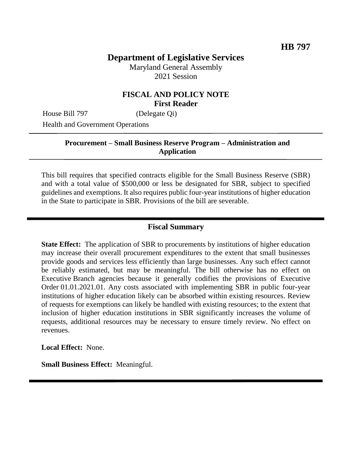# **Department of Legislative Services**

Maryland General Assembly 2021 Session

#### **FISCAL AND POLICY NOTE First Reader**

House Bill 797 (Delegate Qi)

Health and Government Operations

#### **Procurement – Small Business Reserve Program – Administration and Application**

This bill requires that specified contracts eligible for the Small Business Reserve (SBR) and with a total value of \$500,000 or less be designated for SBR, subject to specified guidelines and exemptions. It also requires public four-year institutions of higher education in the State to participate in SBR. Provisions of the bill are severable.

## **Fiscal Summary**

**State Effect:** The application of SBR to procurements by institutions of higher education may increase their overall procurement expenditures to the extent that small businesses provide goods and services less efficiently than large businesses. Any such effect cannot be reliably estimated, but may be meaningful. The bill otherwise has no effect on Executive Branch agencies because it generally codifies the provisions of Executive Order 01.01.2021.01. Any costs associated with implementing SBR in public four-year institutions of higher education likely can be absorbed within existing resources. Review of requests for exemptions can likely be handled with existing resources; to the extent that inclusion of higher education institutions in SBR significantly increases the volume of requests, additional resources may be necessary to ensure timely review. No effect on revenues.

**Local Effect:** None.

**Small Business Effect:** Meaningful.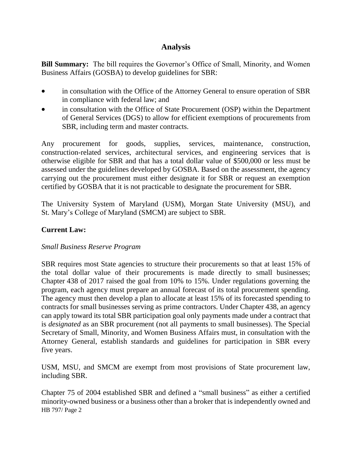## **Analysis**

**Bill Summary:** The bill requires the Governor's Office of Small, Minority, and Women Business Affairs (GOSBA) to develop guidelines for SBR:

- in consultation with the Office of the Attorney General to ensure operation of SBR in compliance with federal law; and
- in consultation with the Office of State Procurement (OSP) within the Department of General Services (DGS) to allow for efficient exemptions of procurements from SBR, including term and master contracts.

Any procurement for goods, supplies, services, maintenance, construction, construction-related services, architectural services, and engineering services that is otherwise eligible for SBR and that has a total dollar value of \$500,000 or less must be assessed under the guidelines developed by GOSBA. Based on the assessment, the agency carrying out the procurement must either designate it for SBR or request an exemption certified by GOSBA that it is not practicable to designate the procurement for SBR.

The University System of Maryland (USM), Morgan State University (MSU), and St. Mary's College of Maryland (SMCM) are subject to SBR.

### **Current Law:**

#### *Small Business Reserve Program*

SBR requires most State agencies to structure their procurements so that at least 15% of the total dollar value of their procurements is made directly to small businesses; Chapter 438 of 2017 raised the goal from 10% to 15%. Under regulations governing the program, each agency must prepare an annual forecast of its total procurement spending. The agency must then develop a plan to allocate at least 15% of its forecasted spending to contracts for small businesses serving as prime contractors. Under Chapter 438, an agency can apply toward its total SBR participation goal only payments made under a contract that is *designated* as an SBR procurement (not all payments to small businesses). The Special Secretary of Small, Minority, and Women Business Affairs must, in consultation with the Attorney General, establish standards and guidelines for participation in SBR every five years.

USM, MSU, and SMCM are exempt from most provisions of State procurement law, including SBR.

HB 797/ Page 2 Chapter 75 of 2004 established SBR and defined a "small business" as either a certified minority-owned business or a business other than a broker that is independently owned and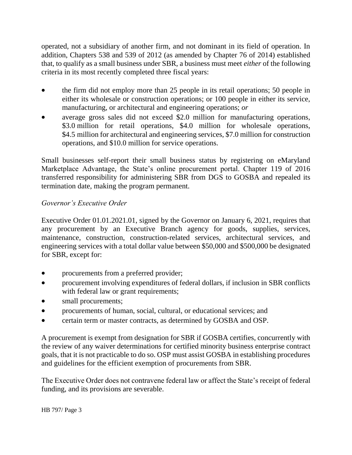operated, not a subsidiary of another firm, and not dominant in its field of operation. In addition, Chapters 538 and 539 of 2012 (as amended by Chapter 76 of 2014) established that, to qualify as a small business under SBR, a business must meet *either* of the following criteria in its most recently completed three fiscal years:

- the firm did not employ more than 25 people in its retail operations; 50 people in either its wholesale or construction operations; or 100 people in either its service, manufacturing, or architectural and engineering operations; *or*
- average gross sales did not exceed \$2.0 million for manufacturing operations, \$3.0 million for retail operations, \$4.0 million for wholesale operations, \$4.5 million for architectural and engineering services, \$7.0 million for construction operations, and \$10.0 million for service operations.

Small businesses self-report their small business status by registering on eMaryland Marketplace Advantage, the State's online procurement portal. Chapter 119 of 2016 transferred responsibility for administering SBR from DGS to GOSBA and repealed its termination date, making the program permanent.

### *Governor's Executive Order*

Executive Order 01.01.2021.01, signed by the Governor on January 6, 2021, requires that any procurement by an Executive Branch agency for goods, supplies, services, maintenance, construction, construction-related services, architectural services, and engineering services with a total dollar value between \$50,000 and \$500,000 be designated for SBR, except for:

- procurements from a preferred provider;
- procurement involving expenditures of federal dollars, if inclusion in SBR conflicts with federal law or grant requirements;
- small procurements;
- procurements of human, social, cultural, or educational services; and
- certain term or master contracts, as determined by GOSBA and OSP.

A procurement is exempt from designation for SBR if GOSBA certifies, concurrently with the review of any waiver determinations for certified minority business enterprise contract goals, that it is not practicable to do so. OSP must assist GOSBA in establishing procedures and guidelines for the efficient exemption of procurements from SBR.

The Executive Order does not contravene federal law or affect the State's receipt of federal funding, and its provisions are severable.